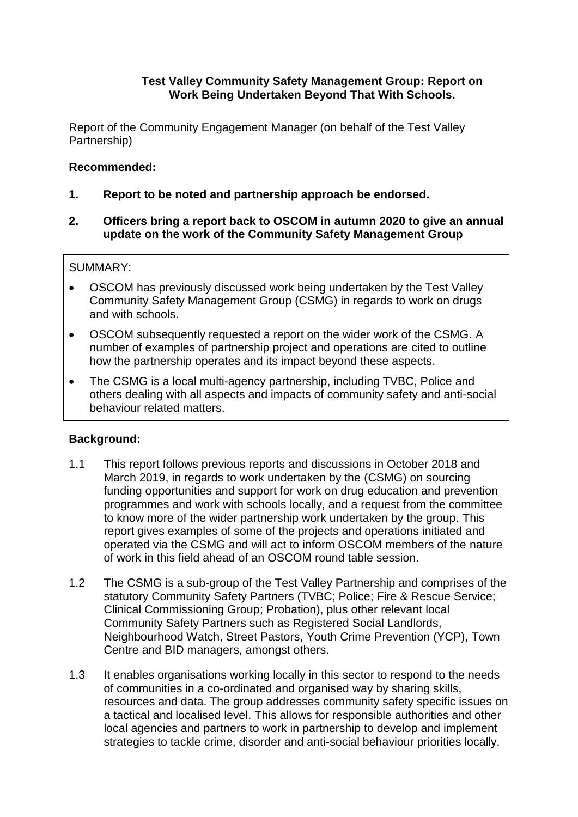## **Test Valley Community Safety Management Group: Report on Work Being Undertaken Beyond That With Schools.**

Report of the Community Engagement Manager (on behalf of the Test Valley Partnership)

### **Recommended:**

- **1. Report to be noted and partnership approach be endorsed.**
- **2. Officers bring a report back to OSCOM in autumn 2020 to give an annual update on the work of the Community Safety Management Group**

## SUMMARY:

- OSCOM has previously discussed work being undertaken by the Test Valley Community Safety Management Group (CSMG) in regards to work on drugs and with schools.
- OSCOM subsequently requested a report on the wider work of the CSMG. A number of examples of partnership project and operations are cited to outline how the partnership operates and its impact beyond these aspects.
- The CSMG is a local multi-agency partnership, including TVBC, Police and others dealing with all aspects and impacts of community safety and anti-social behaviour related matters.

# **Background:**

- 1.1 This report follows previous reports and discussions in October 2018 and March 2019, in regards to work undertaken by the (CSMG) on sourcing funding opportunities and support for work on drug education and prevention programmes and work with schools locally, and a request from the committee to know more of the wider partnership work undertaken by the group. This report gives examples of some of the projects and operations initiated and operated via the CSMG and will act to inform OSCOM members of the nature of work in this field ahead of an OSCOM round table session.
- 1.2 The CSMG is a sub-group of the Test Valley Partnership and comprises of the statutory Community Safety Partners (TVBC; Police; Fire & Rescue Service; Clinical Commissioning Group; Probation), plus other relevant local Community Safety Partners such as Registered Social Landlords, Neighbourhood Watch, Street Pastors, Youth Crime Prevention (YCP), Town Centre and BID managers, amongst others.
- 1.3 It enables organisations working locally in this sector to respond to the needs of communities in a co-ordinated and organised way by sharing skills, resources and data. The group addresses community safety specific issues on a tactical and localised level. This allows for responsible authorities and other local agencies and partners to work in partnership to develop and implement strategies to tackle crime, disorder and anti-social behaviour priorities locally.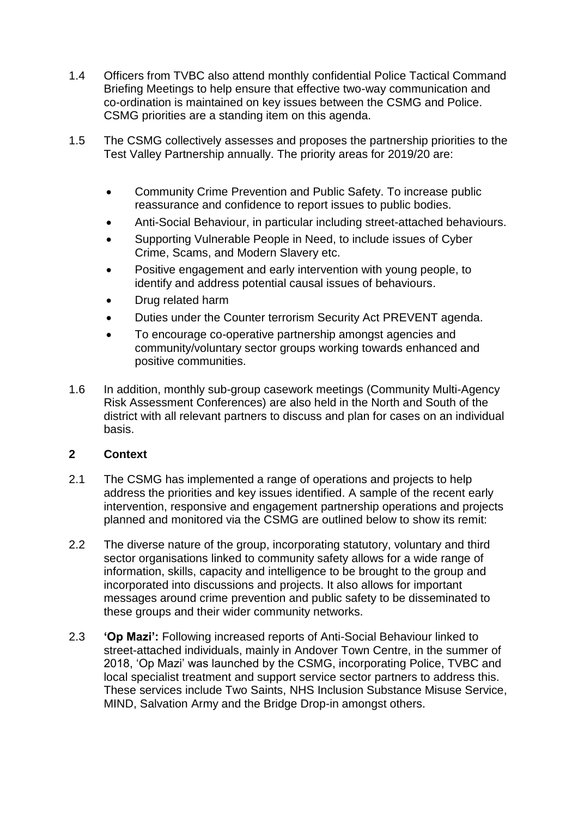- 1.4 Officers from TVBC also attend monthly confidential Police Tactical Command Briefing Meetings to help ensure that effective two-way communication and co-ordination is maintained on key issues between the CSMG and Police. CSMG priorities are a standing item on this agenda.
- 1.5 The CSMG collectively assesses and proposes the partnership priorities to the Test Valley Partnership annually. The priority areas for 2019/20 are:
	- Community Crime Prevention and Public Safety. To increase public reassurance and confidence to report issues to public bodies.
	- Anti-Social Behaviour, in particular including street-attached behaviours.
	- Supporting Vulnerable People in Need, to include issues of Cyber Crime, Scams, and Modern Slavery etc.
	- Positive engagement and early intervention with young people, to identify and address potential causal issues of behaviours.
	- Drug related harm
	- Duties under the Counter terrorism Security Act PREVENT agenda.
	- To encourage co-operative partnership amongst agencies and community/voluntary sector groups working towards enhanced and positive communities.
- 1.6 In addition, monthly sub-group casework meetings (Community Multi-Agency Risk Assessment Conferences) are also held in the North and South of the district with all relevant partners to discuss and plan for cases on an individual basis.

#### **2 Context**

- 2.1 The CSMG has implemented a range of operations and projects to help address the priorities and key issues identified. A sample of the recent early intervention, responsive and engagement partnership operations and projects planned and monitored via the CSMG are outlined below to show its remit:
- 2.2 The diverse nature of the group, incorporating statutory, voluntary and third sector organisations linked to community safety allows for a wide range of information, skills, capacity and intelligence to be brought to the group and incorporated into discussions and projects. It also allows for important messages around crime prevention and public safety to be disseminated to these groups and their wider community networks.
- 2.3 **'Op Mazi':** Following increased reports of Anti-Social Behaviour linked to street-attached individuals, mainly in Andover Town Centre, in the summer of 2018, 'Op Mazi' was launched by the CSMG, incorporating Police, TVBC and local specialist treatment and support service sector partners to address this. These services include Two Saints, NHS Inclusion Substance Misuse Service, MIND, Salvation Army and the Bridge Drop-in amongst others.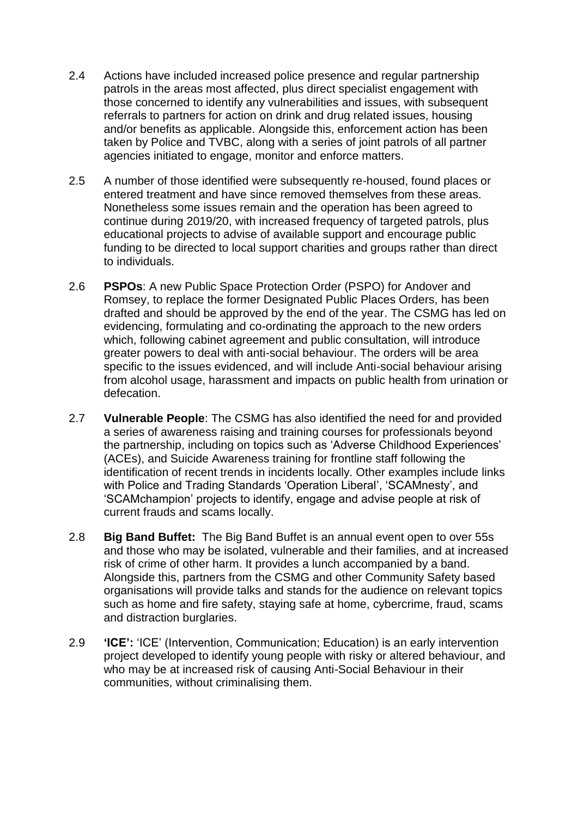- 2.4 Actions have included increased police presence and regular partnership patrols in the areas most affected, plus direct specialist engagement with those concerned to identify any vulnerabilities and issues, with subsequent referrals to partners for action on drink and drug related issues, housing and/or benefits as applicable. Alongside this, enforcement action has been taken by Police and TVBC, along with a series of joint patrols of all partner agencies initiated to engage, monitor and enforce matters.
- 2.5 A number of those identified were subsequently re-housed, found places or entered treatment and have since removed themselves from these areas. Nonetheless some issues remain and the operation has been agreed to continue during 2019/20, with increased frequency of targeted patrols, plus educational projects to advise of available support and encourage public funding to be directed to local support charities and groups rather than direct to individuals.
- 2.6 **PSPOs**: A new Public Space Protection Order (PSPO) for Andover and Romsey, to replace the former Designated Public Places Orders, has been drafted and should be approved by the end of the year. The CSMG has led on evidencing, formulating and co-ordinating the approach to the new orders which, following cabinet agreement and public consultation, will introduce greater powers to deal with anti-social behaviour. The orders will be area specific to the issues evidenced, and will include Anti-social behaviour arising from alcohol usage, harassment and impacts on public health from urination or defecation.
- 2.7 **Vulnerable People**: The CSMG has also identified the need for and provided a series of awareness raising and training courses for professionals beyond the partnership, including on topics such as 'Adverse Childhood Experiences' (ACEs), and Suicide Awareness training for frontline staff following the identification of recent trends in incidents locally. Other examples include links with Police and Trading Standards 'Operation Liberal', 'SCAMnesty', and 'SCAMchampion' projects to identify, engage and advise people at risk of current frauds and scams locally.
- 2.8 **Big Band Buffet:** The Big Band Buffet is an annual event open to over 55s and those who may be isolated, vulnerable and their families, and at increased risk of crime of other harm. It provides a lunch accompanied by a band. Alongside this, partners from the CSMG and other Community Safety based organisations will provide talks and stands for the audience on relevant topics such as home and fire safety, staying safe at home, cybercrime, fraud, scams and distraction burglaries.
- 2.9 **'ICE':** 'ICE' (Intervention, Communication; Education) is an early intervention project developed to identify young people with risky or altered behaviour, and who may be at increased risk of causing Anti-Social Behaviour in their communities, without criminalising them.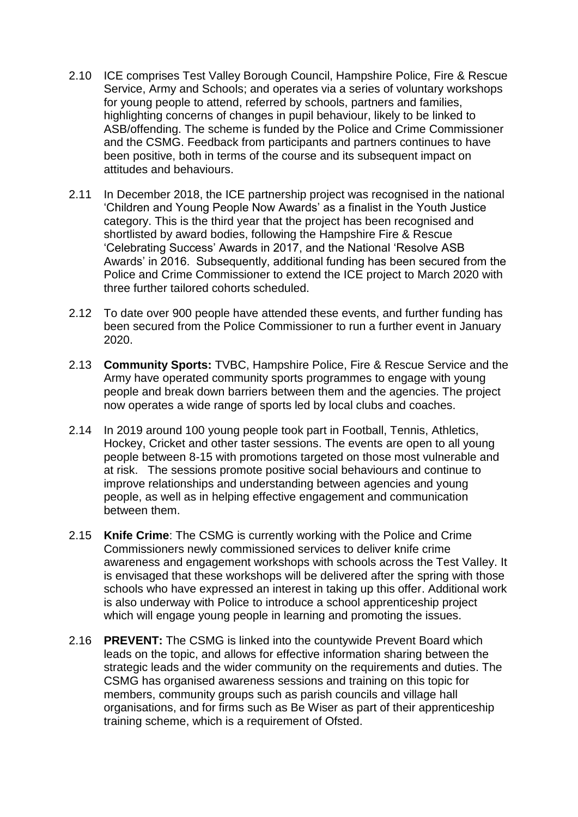- 2.10 ICE comprises Test Valley Borough Council, Hampshire Police, Fire & Rescue Service, Army and Schools; and operates via a series of voluntary workshops for young people to attend, referred by schools, partners and families, highlighting concerns of changes in pupil behaviour, likely to be linked to ASB/offending. The scheme is funded by the Police and Crime Commissioner and the CSMG. Feedback from participants and partners continues to have been positive, both in terms of the course and its subsequent impact on attitudes and behaviours.
- 2.11 In December 2018, the ICE partnership project was recognised in the national 'Children and Young People Now Awards' as a finalist in the Youth Justice category. This is the third year that the project has been recognised and shortlisted by award bodies, following the Hampshire Fire & Rescue 'Celebrating Success' Awards in 2017, and the National 'Resolve ASB Awards' in 2016. Subsequently, additional funding has been secured from the Police and Crime Commissioner to extend the ICE project to March 2020 with three further tailored cohorts scheduled.
- 2.12 To date over 900 people have attended these events, and further funding has been secured from the Police Commissioner to run a further event in January 2020.
- 2.13 **Community Sports:** TVBC, Hampshire Police, Fire & Rescue Service and the Army have operated community sports programmes to engage with young people and break down barriers between them and the agencies. The project now operates a wide range of sports led by local clubs and coaches.
- 2.14 In 2019 around 100 young people took part in Football, Tennis, Athletics, Hockey, Cricket and other taster sessions. The events are open to all young people between 8-15 with promotions targeted on those most vulnerable and at risk. The sessions promote positive social behaviours and continue to improve relationships and understanding between agencies and young people, as well as in helping effective engagement and communication between them.
- 2.15 **Knife Crime**: The CSMG is currently working with the Police and Crime Commissioners newly commissioned services to deliver knife crime awareness and engagement workshops with schools across the Test Valley. It is envisaged that these workshops will be delivered after the spring with those schools who have expressed an interest in taking up this offer. Additional work is also underway with Police to introduce a school apprenticeship project which will engage young people in learning and promoting the issues.
- 2.16 **PREVENT:** The CSMG is linked into the countywide Prevent Board which leads on the topic, and allows for effective information sharing between the strategic leads and the wider community on the requirements and duties. The CSMG has organised awareness sessions and training on this topic for members, community groups such as parish councils and village hall organisations, and for firms such as Be Wiser as part of their apprenticeship training scheme, which is a requirement of Ofsted.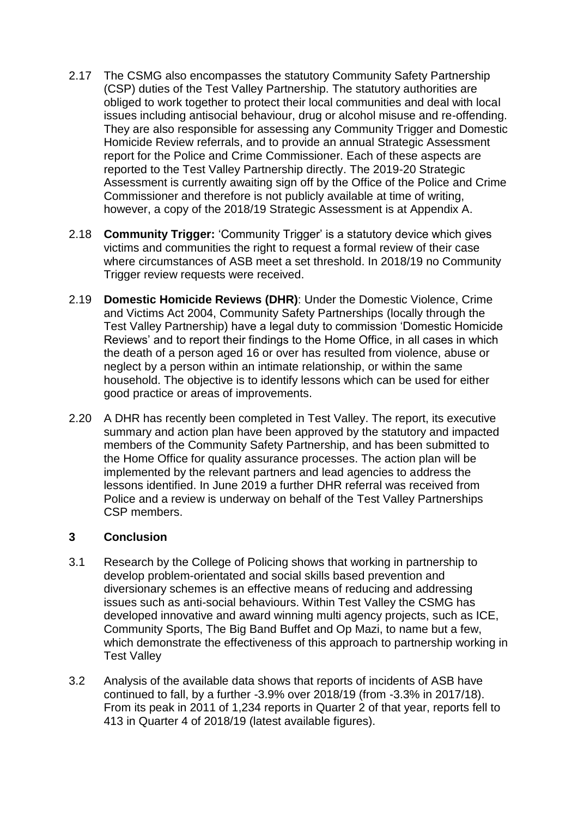- 2.17 The CSMG also encompasses the statutory Community Safety Partnership (CSP) duties of the Test Valley Partnership. The statutory authorities are obliged to work together to protect their local communities and deal with local issues including antisocial behaviour, drug or alcohol misuse and re-offending. They are also responsible for assessing any Community Trigger and Domestic Homicide Review referrals, and to provide an annual Strategic Assessment report for the Police and Crime Commissioner. Each of these aspects are reported to the Test Valley Partnership directly. The 2019-20 Strategic Assessment is currently awaiting sign off by the Office of the Police and Crime Commissioner and therefore is not publicly available at time of writing, however, a copy of the 2018/19 Strategic Assessment is at Appendix A.
- 2.18 **Community Trigger:** 'Community Trigger' is a statutory device which gives victims and communities the right to request a formal review of their case where circumstances of ASB meet a set threshold. In 2018/19 no Community Trigger review requests were received.
- 2.19 **Domestic Homicide Reviews (DHR)**: Under the Domestic Violence, Crime and Victims Act 2004, Community Safety Partnerships (locally through the Test Valley Partnership) have a legal duty to commission 'Domestic Homicide Reviews' and to report their findings to the Home Office, in all cases in which the death of a person aged 16 or over has resulted from violence, abuse or neglect by a person within an intimate relationship, or within the same household. The objective is to identify lessons which can be used for either good practice or areas of improvements.
- 2.20 A DHR has recently been completed in Test Valley. The report, its executive summary and action plan have been approved by the statutory and impacted members of the Community Safety Partnership, and has been submitted to the Home Office for quality assurance processes. The action plan will be implemented by the relevant partners and lead agencies to address the lessons identified. In June 2019 a further DHR referral was received from Police and a review is underway on behalf of the Test Valley Partnerships CSP members.

#### **3 Conclusion**

- 3.1 Research by the College of Policing shows that working in partnership to develop problem-orientated and social skills based prevention and diversionary schemes is an effective means of reducing and addressing issues such as anti-social behaviours. Within Test Valley the CSMG has developed innovative and award winning multi agency projects, such as ICE, Community Sports, The Big Band Buffet and Op Mazi, to name but a few, which demonstrate the effectiveness of this approach to partnership working in Test Valley
- 3.2 Analysis of the available data shows that reports of incidents of ASB have continued to fall, by a further -3.9% over 2018/19 (from -3.3% in 2017/18). From its peak in 2011 of 1,234 reports in Quarter 2 of that year, reports fell to 413 in Quarter 4 of 2018/19 (latest available figures).